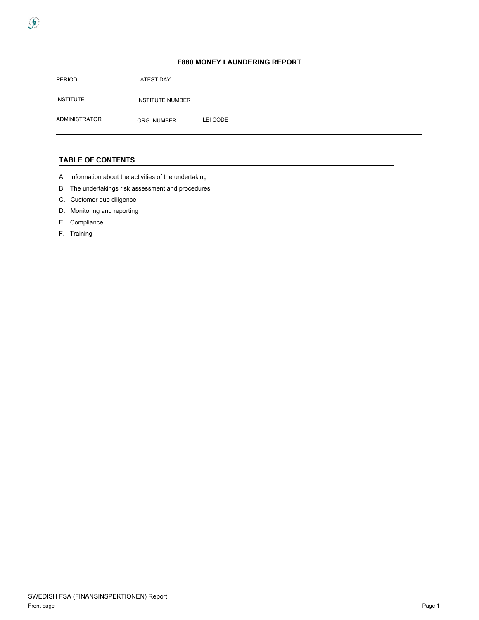PERIOD INSTITUTE ADMINISTRATOR LATEST DAY INSTITUTE NUMBER ORG. NUMBER LEI CODE

### **TABLE OF CONTENTS**

- A. Information about the activities of the undertaking
- B. The undertakings risk assessment and procedures
- C. Customer due diligence
- D. Monitoring and reporting
- E. Compliance
- F. Training

 $\int$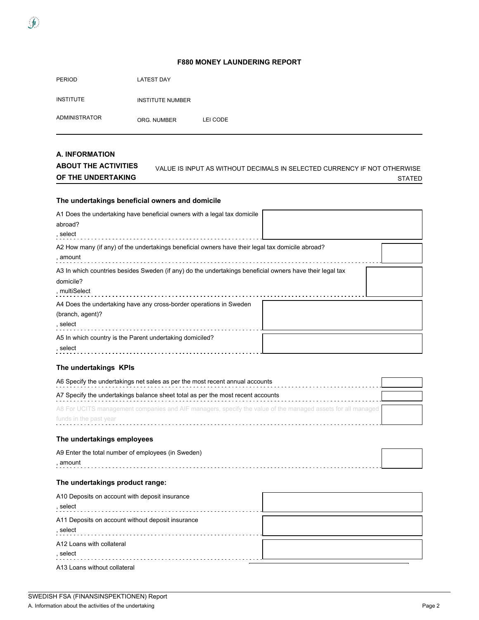PERIOD LATEST DAY

 $\int$ 

INSTITUTE INSTITUTE NUMBER

ADMINISTRATOR ORG. NUMBER LEI CODE

#### **A. INFORMATION ABOUT THE ACTIVITIES OF THE UNDERTAKING** VALUE IS INPUT AS WITHOUT DECIMALS IN SELECTED CURRENCY IF NOT OTHERWISE STATED

### **The undertakings beneficial owners and domicile**

| A1 Does the undertaking have beneficial owners with a legal tax domicile<br>abroad?<br>, select                                        |  |
|----------------------------------------------------------------------------------------------------------------------------------------|--|
| A2 How many (if any) of the undertakings beneficial owners have their legal tax domicile abroad?<br>, amount                           |  |
| A3 In which countries besides Sweden (if any) do the undertakings beneficial owners have their legal tax<br>domicile?<br>, multiSelect |  |
| A4 Does the undertaking have any cross-border operations in Sweden<br>(branch, agent)?<br>, select                                     |  |
| A5 In which country is the Parent undertaking domiciled?<br>, select                                                                   |  |

### **The undertakings KPIs**

| A6 Specify the undertakings net sales as per the most recent annual accounts                                |  |
|-------------------------------------------------------------------------------------------------------------|--|
| A7 Specify the undertakings balance sheet total as per the most recent accounts                             |  |
| A8 For UCITS management companies and AIF managers, specify the value of the managed assets for all managed |  |
| funds in the past year                                                                                      |  |

## **The undertakings employees**

| A9 Enter the total number of employees (in Sweden) |  |
|----------------------------------------------------|--|
| amouni                                             |  |

## **The undertakings product range:**

| A10 Deposits on account with deposit insurance<br>, select    |  |
|---------------------------------------------------------------|--|
| A11 Deposits on account without deposit insurance<br>, select |  |
| A12 Loans with collateral<br>. select                         |  |

| A13 Loans without collateral |  |  |
|------------------------------|--|--|
|------------------------------|--|--|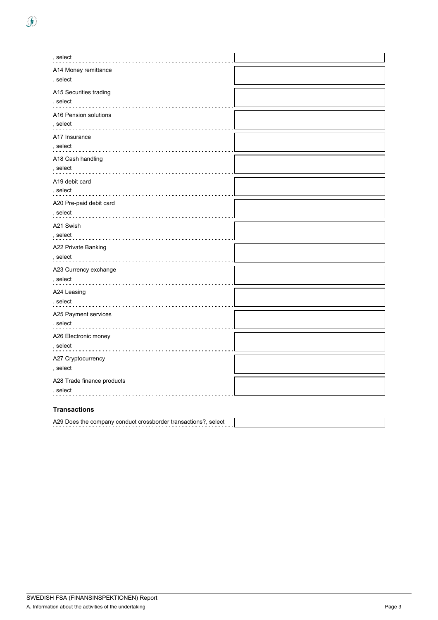| , select                                     |  |
|----------------------------------------------|--|
| A14 Money remittance                         |  |
| , select                                     |  |
| A15 Securities trading                       |  |
| , select                                     |  |
| A16 Pension solutions                        |  |
| , select                                     |  |
| A17 Insurance                                |  |
| , select                                     |  |
| A18 Cash handling                            |  |
| , select                                     |  |
| A19 debit card                               |  |
| , select                                     |  |
| A20 Pre-paid debit card                      |  |
| , select                                     |  |
| A21 Swish                                    |  |
| , select                                     |  |
| A22 Private Banking                          |  |
| , select                                     |  |
| A23 Currency exchange                        |  |
| , select                                     |  |
| A24 Leasing                                  |  |
| , select<br>.                                |  |
| A25 Payment services                         |  |
| , select                                     |  |
| A26 Electronic money                         |  |
| , select<br><u>a a a a a a a a a a a a a</u> |  |
| A27 Cryptocurrency                           |  |
| , select                                     |  |
| A28 Trade finance products                   |  |

## **Transactions**

, select

A29 Does the company conduct crossborder transactions?, select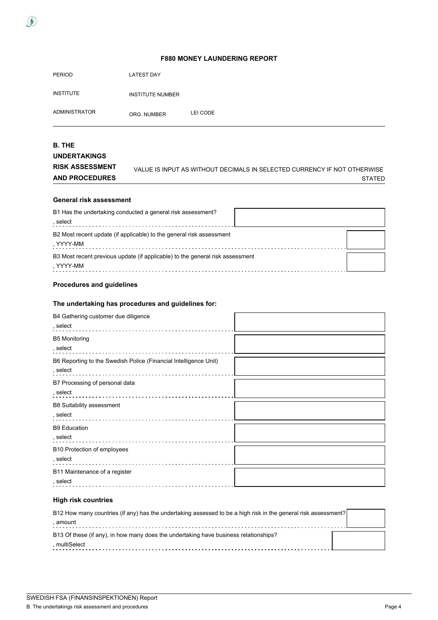| <b>PERIOD</b>    | <b>LATEST DAY</b>       |          |
|------------------|-------------------------|----------|
| <b>INSTITUTE</b> | <b>INSTITUTE NUMBER</b> |          |
| ADMINISTRATOR    | ORG. NUMBER             | LEI CODE |

### **B. THE UNDERTAKINGS RISK ASSESSMENT AND PROCEDURES** VALUE IS INPUT AS WITHOUT DECIMALS IN SELECTED CURRENCY IF NOT OTHERWISE STATED

## **General risk assessment**

 $\int$ 

| B1 Has the undertaking conducted a general risk assessment?<br>. select                    |  |
|--------------------------------------------------------------------------------------------|--|
| B2 Most recent update (if applicable) to the general risk assessment<br>, YYYY-MM          |  |
| B3 Most recent previous update (if applicable) to the general risk assessment<br>. YYYY-MM |  |

### **Procedures and guidelines**

### **The undertaking has procedures and guidelines for:**

| B4 Gathering customer due diligence<br>, select                  |  |
|------------------------------------------------------------------|--|
| <b>B5 Monitoring</b><br>, select                                 |  |
| B6 Reporting to the Swedish Police (Financial Intelligence Unit) |  |
| B7 Processing of personal data<br>, select                       |  |
| B8 Suitability assessment<br>, select                            |  |
| <b>B9 Education</b><br>, select                                  |  |
| B10 Protection of employees<br>, select                          |  |
| B11 Maintenance of a register<br>, select                        |  |

### **High risk countries**

| B12 How many countries (if any) has the undertaking assessed to be a high risk in the general risk assessment? |  |  |
|----------------------------------------------------------------------------------------------------------------|--|--|
| . amount                                                                                                       |  |  |
| B13 Of these (if any), in how many does the undertaking have business relationships?                           |  |  |
| . multiSelect                                                                                                  |  |  |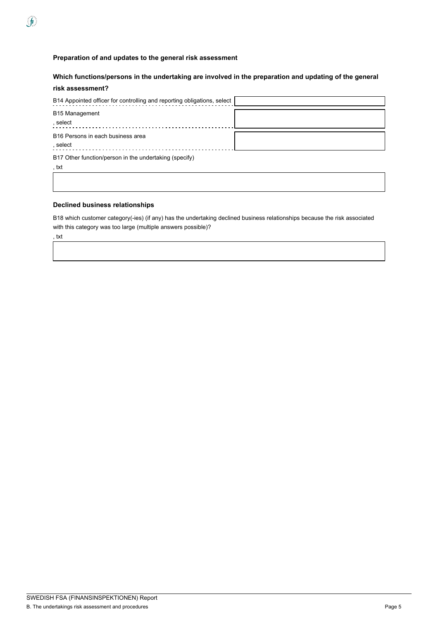# **Which functions/persons in the undertaking are involved in the preparation and updating of the general risk assessment?**

| B14 Appointed officer for controlling and reporting obligations, select |  |
|-------------------------------------------------------------------------|--|
| B15 Management<br>, select                                              |  |
| B16 Persons in each business area<br>, select                           |  |
| B17 Other function/person in the undertaking (specify)<br>, txt         |  |

## **Declined business relationships**

B18 which customer category(-ies) (if any) has the undertaking declined business relationships because the risk associated with this category was too large (multiple answers possible)?

, txt

 $\int$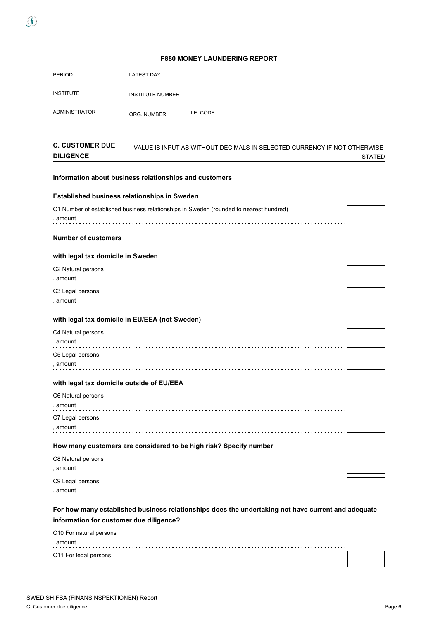| <b>F880 MONEY LAUNDERING REPORT</b>                    |                         |                                                                                                        |               |  |
|--------------------------------------------------------|-------------------------|--------------------------------------------------------------------------------------------------------|---------------|--|
| <b>PERIOD</b>                                          | <b>LATEST DAY</b>       |                                                                                                        |               |  |
| <b>INSTITUTE</b>                                       | <b>INSTITUTE NUMBER</b> |                                                                                                        |               |  |
| <b>ADMINISTRATOR</b>                                   | ORG. NUMBER             | LEI CODE                                                                                               |               |  |
| <b>C. CUSTOMER DUE</b><br><b>DILIGENCE</b>             |                         | VALUE IS INPUT AS WITHOUT DECIMALS IN SELECTED CURRENCY IF NOT OTHERWISE                               | <b>STATED</b> |  |
| Information about business relationships and customers |                         |                                                                                                        |               |  |
| Established business relationships in Sweden           |                         |                                                                                                        |               |  |
| , amount                                               |                         | C1 Number of established business relationships in Sweden (rounded to nearest hundred)<br>. <b>.</b> . |               |  |
| <b>Number of customers</b>                             |                         |                                                                                                        |               |  |
| with legal tax domicile in Sweden                      |                         |                                                                                                        |               |  |
| C2 Natural persons<br>, amount                         |                         |                                                                                                        |               |  |
| C3 Legal persons<br>, amount                           |                         |                                                                                                        |               |  |
| with legal tax domicile in EU/EEA (not Sweden)         |                         |                                                                                                        |               |  |
| C4 Natural persons                                     |                         |                                                                                                        |               |  |
| , amount                                               |                         |                                                                                                        |               |  |
| C5 Legal persons<br>, amount                           |                         |                                                                                                        |               |  |
| with legal tax domicile outside of EU/EEA              |                         |                                                                                                        |               |  |
| C6 Natural persons<br>, amount                         |                         |                                                                                                        |               |  |
| C7 Legal persons<br>, amount                           |                         |                                                                                                        |               |  |
|                                                        |                         | How many customers are considered to be high risk? Specify number                                      |               |  |
| C8 Natural persons<br>, amount                         |                         |                                                                                                        |               |  |
| C9 Legal persons<br>, amount                           |                         |                                                                                                        |               |  |
|                                                        |                         |                                                                                                        |               |  |

# **For how many established business relationships does the undertaking not have current and adequate information for customer due diligence?**

| C10 For natural persons |  |
|-------------------------|--|
| amount<br>- - - -       |  |
| C11 For legal persons   |  |

 $\int$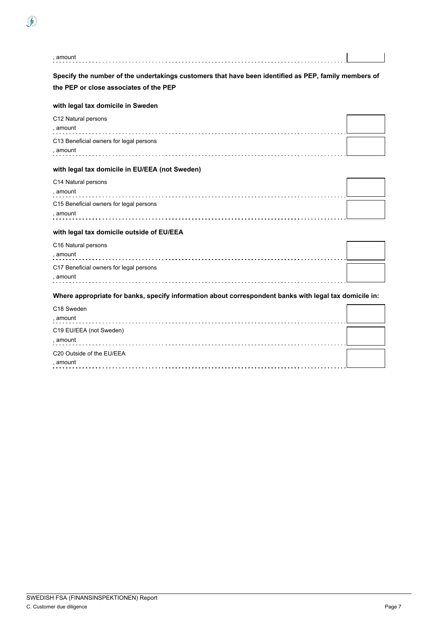| , amount                                                                                                                                       |  |
|------------------------------------------------------------------------------------------------------------------------------------------------|--|
| Specify the number of the undertakings customers that have been identified as PEP, family members of<br>the PEP or close associates of the PEP |  |
| with legal tax domicile in Sweden                                                                                                              |  |
| C12 Natural persons<br>, amount                                                                                                                |  |
| C13 Beneficial owners for legal persons<br>, amount                                                                                            |  |
| with legal tax domicile in EU/EEA (not Sweden)                                                                                                 |  |
| C14 Natural persons<br>, amount                                                                                                                |  |
| C15 Beneficial owners for legal persons<br>, amount                                                                                            |  |
| with legal tax domicile outside of EU/EEA                                                                                                      |  |
| C16 Natural persons<br>, amount                                                                                                                |  |
| C17 Beneficial owners for legal persons<br>, amount                                                                                            |  |
| Where appropriate for banks, specify information about correspondent banks with legal tax domicile in:                                         |  |
| C18 Sweden<br>, amount                                                                                                                         |  |
| C19 EU/EEA (not Sweden)<br>, amount                                                                                                            |  |

| <b>^</b> |  |
|----------|--|
|          |  |
|          |  |

 $\hat{\mathbf{J}}$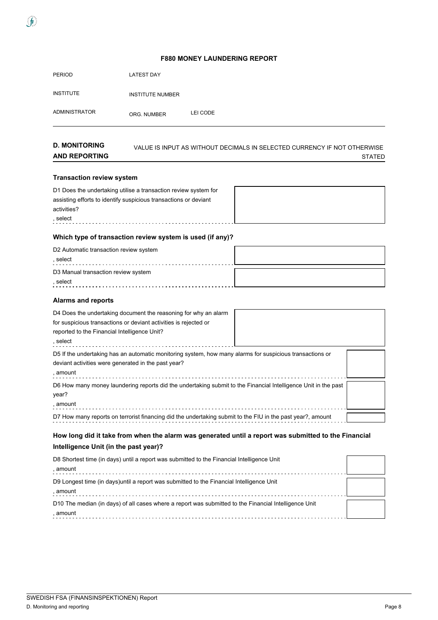| <b>PERIOD</b>        | LATEST DAY              |          |
|----------------------|-------------------------|----------|
| <b>INSTITUTE</b>     | <b>INSTITUTE NUMBER</b> |          |
| <b>ADMINISTRATOR</b> | ORG. NUMBER             | LEI CODE |

| <b>D. MONITORING</b> | VALUE IS INPUT AS WITHOUT DECIMALS IN SELECTED CURRENCY IF NOT OTHERWISE |
|----------------------|--------------------------------------------------------------------------|
| <b>AND REPORTING</b> | <b>STATED</b>                                                            |

### **Transaction review system**

 $\int$ 

| D1 Does the undertaking utilise a transaction review system for  |  |
|------------------------------------------------------------------|--|
| assisting efforts to identify suspicious transactions or deviant |  |
| activities?                                                      |  |
| . select                                                         |  |

## **Which type of transaction review system is used (if any)?**

| D2 Automatic transaction review system |  |
|----------------------------------------|--|
| select                                 |  |
| D3 Manual transaction review system    |  |
| select                                 |  |

### **Alarms and reports**

| D4 Does the undertaking document the reasoning for why an alarm<br>for suspicious transactions or deviant activities is rejected or<br>reported to the Financial Intelligence Unit?<br>, select |  |
|-------------------------------------------------------------------------------------------------------------------------------------------------------------------------------------------------|--|
| D5 If the undertaking has an automatic monitoring system, how many alarms for suspicious transactions or<br>deviant activities were generated in the past year?<br>, amount                     |  |
| D6 How many money laundering reports did the undertaking submit to the Financial Intelligence Unit in the past<br>year?<br>, amount                                                             |  |
| D7 How many reports on terrorist financing did the undertaking submit to the FIU in the past year?, amount                                                                                      |  |

# **How long did it take from when the alarm was generated until a report was submitted to the Financial Intelligence Unit (in the past year)?**

| D8 Shortest time (in days) until a report was submitted to the Financial Intelligence Unit                        |  |
|-------------------------------------------------------------------------------------------------------------------|--|
| , amount                                                                                                          |  |
| D9 Longest time (in days) until a report was submitted to the Financial Intelligence Unit<br>. amount             |  |
| D10 The median (in days) of all cases where a report was submitted to the Financial Intelligence Unit<br>, amount |  |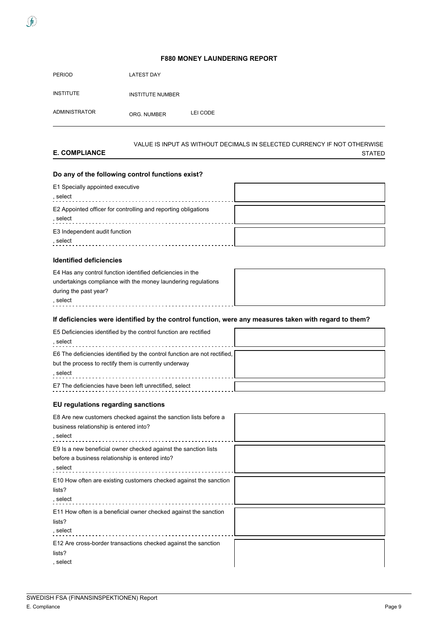| <b>PERIOD</b>        | <b>LATEST DAY</b>       |          |
|----------------------|-------------------------|----------|
| <b>INSTITUTE</b>     | <b>INSTITUTE NUMBER</b> |          |
| <b>ADMINISTRATOR</b> | ORG. NUMBER             | LEI CODE |

#### **E. COMPLIANCE** VALUE IS INPUT AS WITHOUT DECIMALS IN SELECTED CURRENCY IF NOT OTHERWISE STATED

## **Do any of the following control functions exist?**

| E1 Specially appointed executive<br>, select                               |  |
|----------------------------------------------------------------------------|--|
| E2 Appointed officer for controlling and reporting obligations<br>. select |  |
| E3 Independent audit function<br>. select                                  |  |

### **Identified deficiencies**

 $\int$ 

| E4 Has any control function identified deficiencies in the    |  |
|---------------------------------------------------------------|--|
| undertakings compliance with the money laundering regulations |  |
| during the past year?                                         |  |
| . select                                                      |  |

## **If deficiencies were identified by the control function, were any measures taken with regard to them?**

### **EU regulations regarding sanctions**

| E8 Are new customers checked against the sanction lists before a<br>business relationship is entered into?<br>, select         |  |
|--------------------------------------------------------------------------------------------------------------------------------|--|
| E9 Is a new beneficial owner checked against the sanction lists<br>before a business relationship is entered into?<br>, select |  |
| E10 How often are existing customers checked against the sanction<br>lists?<br>, select                                        |  |
| E11 How often is a beneficial owner checked against the sanction<br>lists?<br>, select                                         |  |
| E12 Are cross-border transactions checked against the sanction<br>lists?<br>, select                                           |  |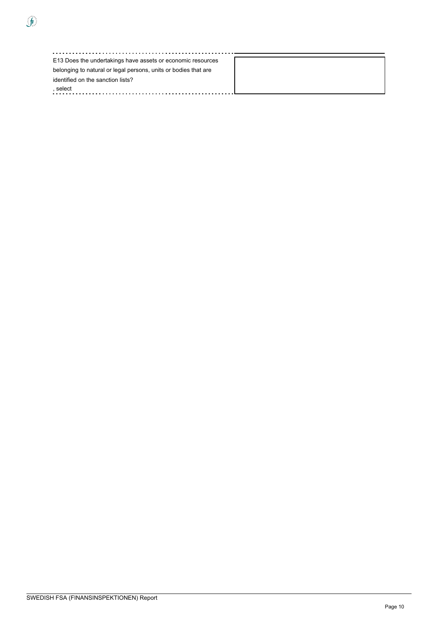$\hat{J}$